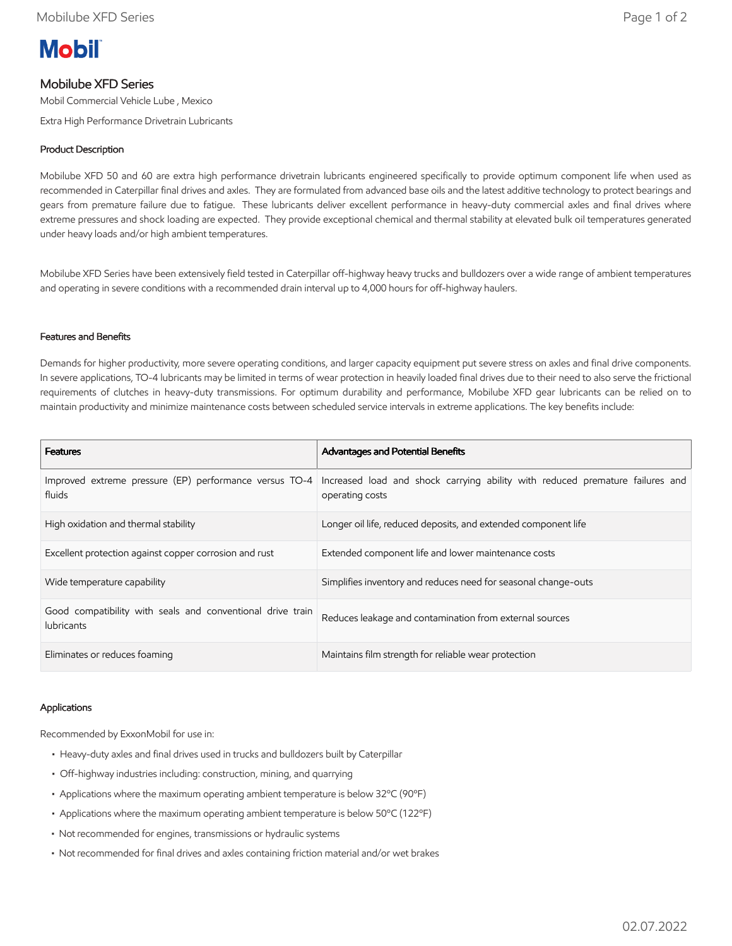# **Mobil**

## Mobilube XFD Series

Mobil Commercial Vehicle Lube , Mexico

Extra High Performance Drivetrain Lubricants

### Product Description

Mobilube XFD 50 and 60 are extra high performance drivetrain lubricants engineered specifically to provide optimum component life when used as recommended in Caterpillar final drives and axles. They are formulated from advanced base oils and the latest additive technology to protect bearings and gears from premature failure due to fatigue. These lubricants deliver excellent performance in heavy-duty commercial axles and final drives where extreme pressures and shock loading are expected. They provide exceptional chemical and thermal stability at elevated bulk oil temperatures generated under heavy loads and/or high ambient temperatures.

Mobilube XFD Series have been extensively field tested in Caterpillar off-highway heavy trucks and bulldozers over a wide range of ambient temperatures and operating in severe conditions with a recommended drain interval up to 4,000 hours for off-highway haulers.

#### Features and Benefits

Demands for higher productivity, more severe operating conditions, and larger capacity equipment put severe stress on axles and final drive components. In severe applications, TO-4 lubricants may be limited in terms of wear protection in heavily loaded final drives due to their need to also serve the frictional requirements of clutches in heavy-duty transmissions. For optimum durability and performance, Mobilube XFD gear lubricants can be relied on to maintain productivity and minimize maintenance costs between scheduled service intervals in extreme applications. The key benefits include:

| <b>Features</b>                                                                 | Advantages and Potential Benefits                                                                |
|---------------------------------------------------------------------------------|--------------------------------------------------------------------------------------------------|
| Improved extreme pressure (EP) performance versus TO-4<br>fluids                | Increased load and shock carrying ability with reduced premature failures and<br>operating costs |
| High oxidation and thermal stability                                            | Longer oil life, reduced deposits, and extended component life                                   |
| Excellent protection against copper corrosion and rust                          | Extended component life and lower maintenance costs                                              |
| Wide temperature capability                                                     | Simplifies inventory and reduces need for seasonal change-outs                                   |
| Good compatibility with seals and conventional drive train<br><b>lubricants</b> | Reduces leakage and contamination from external sources                                          |
| Eliminates or reduces foaming                                                   | Maintains film strength for reliable wear protection                                             |

#### Applications

Recommended by ExxonMobil for use in:

- Heavy-duty axles and final drives used in trucks and bulldozers built by Caterpillar
- Off-highway industries including: construction, mining, and quarrying
- Applications where the maximum operating ambient temperature is below 32ºC (90ºF)
- Applications where the maximum operating ambient temperature is below 50ºC (122ºF)
- Not recommended for engines, transmissions or hydraulic systems
- Not recommended for final drives and axles containing friction material and/or wet brakes